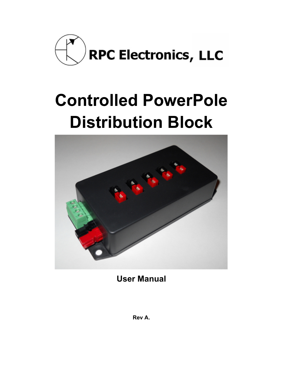

# **Controlled PowerPole Distribution Block**



**User Manual**

**Rev A.**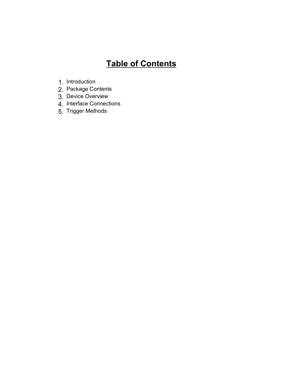# **Table of Contents**

- 1. Introduction
- 2. Package Contents
- 3. Device Overview
- 4. Interface Connections
- 5. Trigger Methods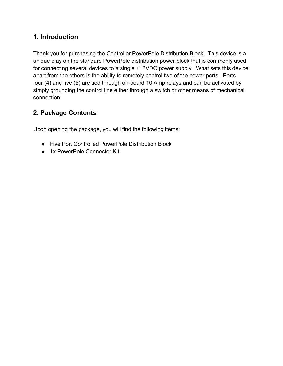### **1. Introduction**

Thank you for purchasing the Controller PowerPole Distribution Block! This device is a unique play on the standard PowerPole distribution power block that is commonly used for connecting several devices to a single +12VDC power supply. What sets this device apart from the others is the ability to remotely control two of the power ports. Ports four (4) and five (5) are tied through on-board 10 Amp relays and can be activated by simply grounding the control line either through a switch or other means of mechanical connection.

# **2. Package Contents**

Upon opening the package, you will find the following items:

- Five Port Controlled PowerPole Distribution Block
- 1x PowerPole Connector Kit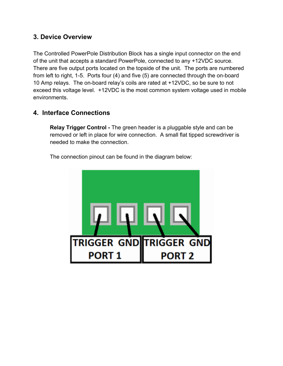### **3. Device Overview**

The Controlled PowerPole Distribution Block has a single input connector on the end of the unit that accepts a standard PowerPole, connected to any +12VDC source. There are five output ports located on the topside of the unit. The ports are numbered from left to right, 1-5. Ports four (4) and five (5) are connected through the on-board 10 Amp relays. The on-board relay's coils are rated at +12VDC, so be sure to not exceed this voltage level. +12VDC is the most common system voltage used in mobile environments.

## **4. Interface Connections**

**Relay Trigger Control -** The green header is a pluggable style and can be removed or left in place for wire connection. A small flat tipped screwdriver is needed to make the connection.

The connection pinout can be found in the diagram below:

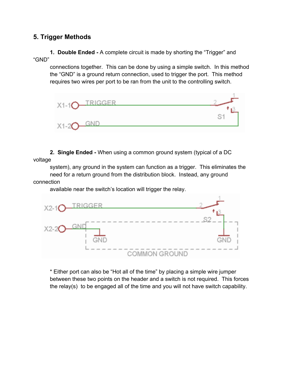#### **5. Trigger Methods**

**1. Double Ended -** A complete circuit is made by shorting the "Trigger" and "GND"

connections together. This can be done by using a simple switch. In this method the "GND" is a ground return connection, used to trigger the port. This method requires two wires per port to be ran from the unit to the controlling switch.



**2. Single Ended -** When using a common ground system (typical of a DC voltage

system), any ground in the system can function as a trigger. This eliminates the need for a return ground from the distribution block. Instead, any ground connection

available near the switch's location will trigger the relay.



\* Either port can also be "Hot all of the time" by placing a simple wire jumper between these two points on the header and a switch is not required. This forces the relay(s) to be engaged all of the time and you will not have switch capability.